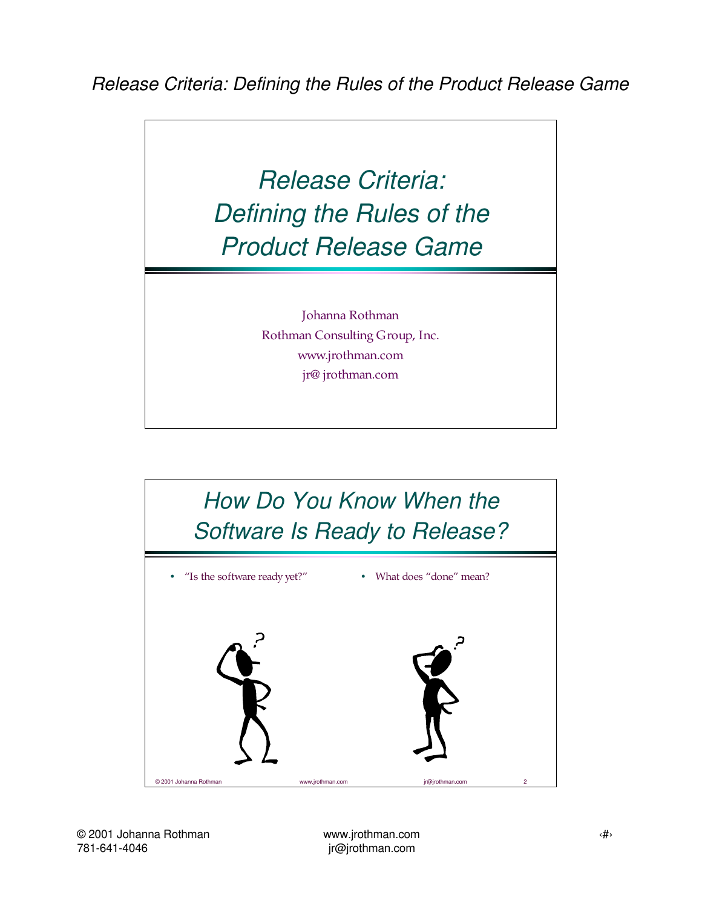## Release Criteria: Defining the Rules of the Product Release Game

Johanna Rothman Rothman Consulting Group, Inc. www.jrothman.com jr@ jrothman.com

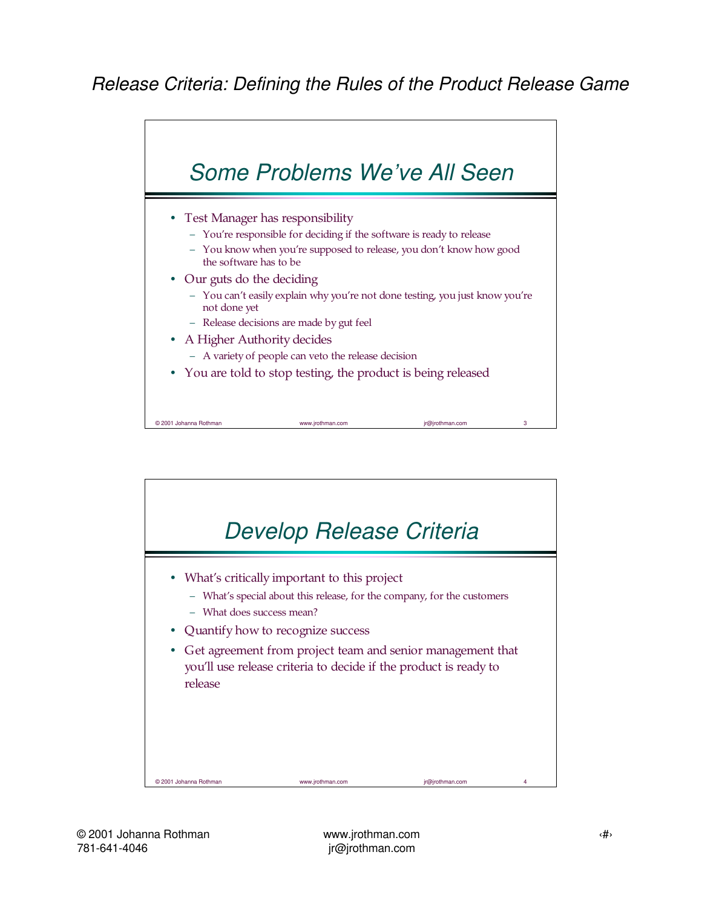

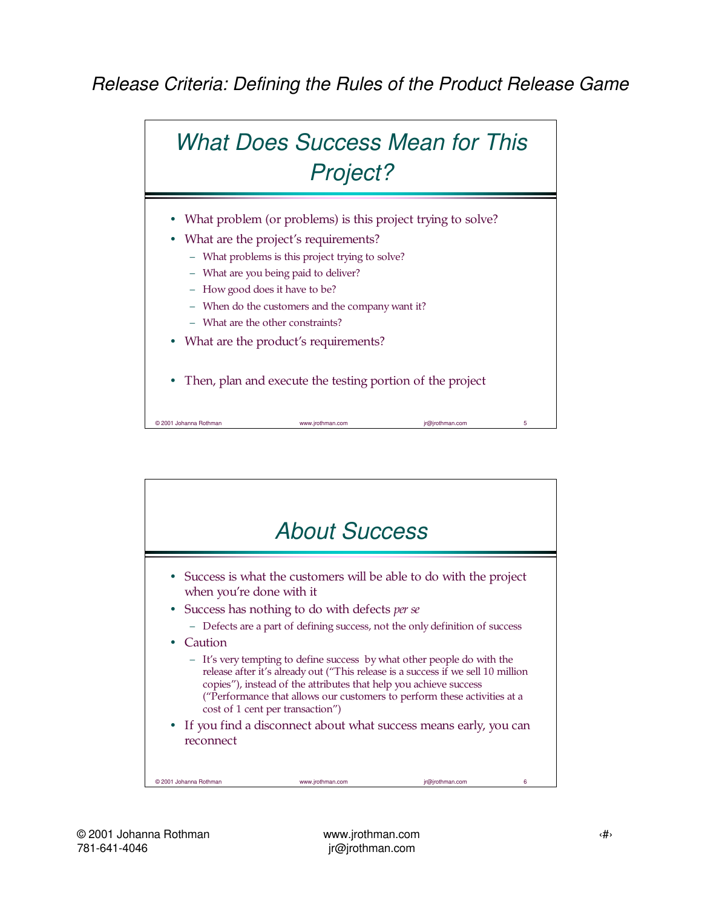

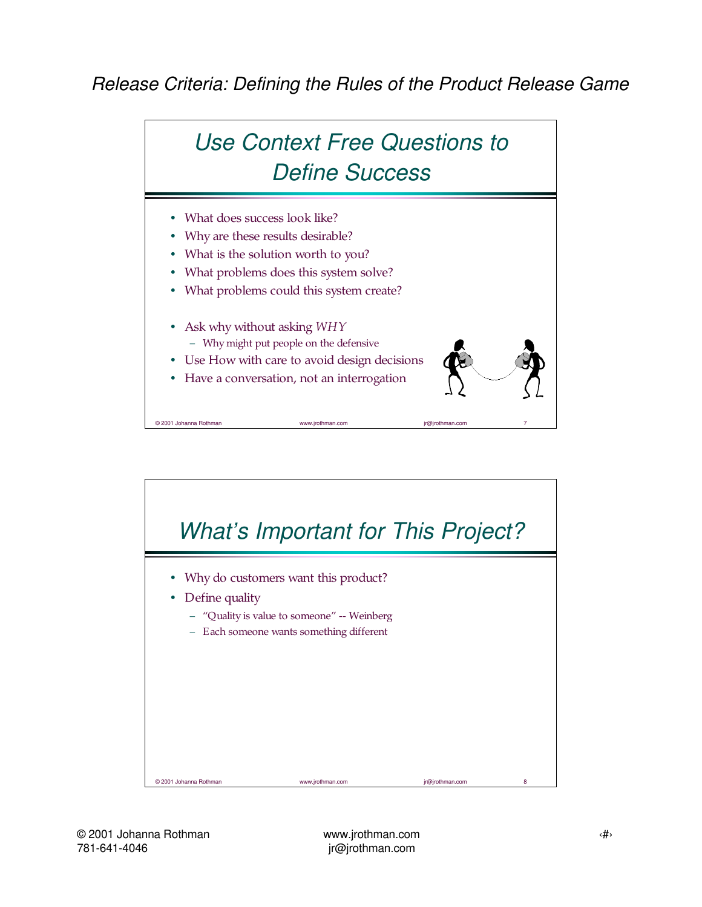

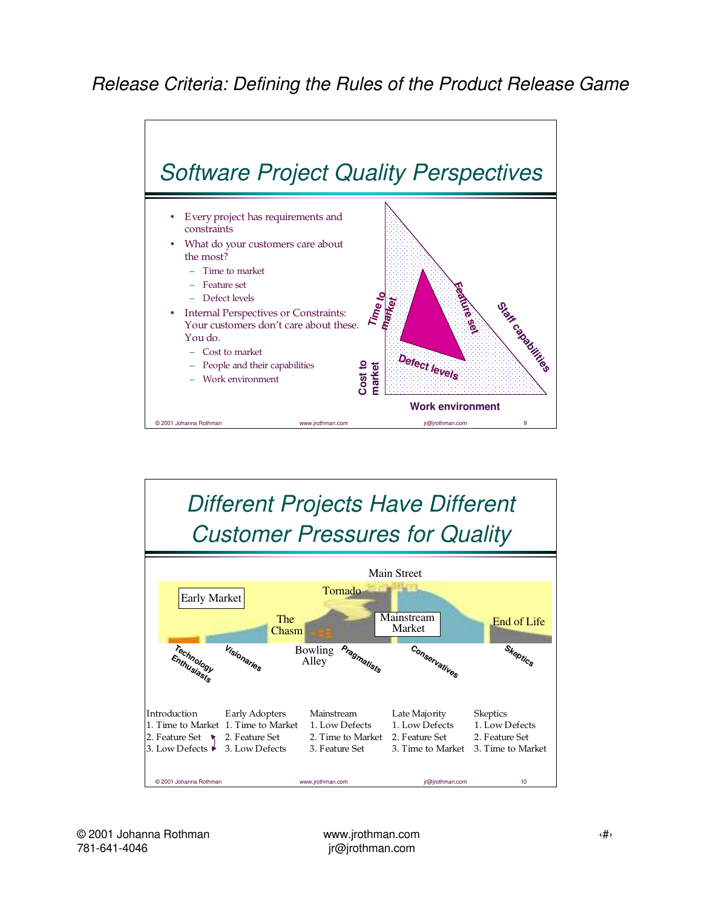

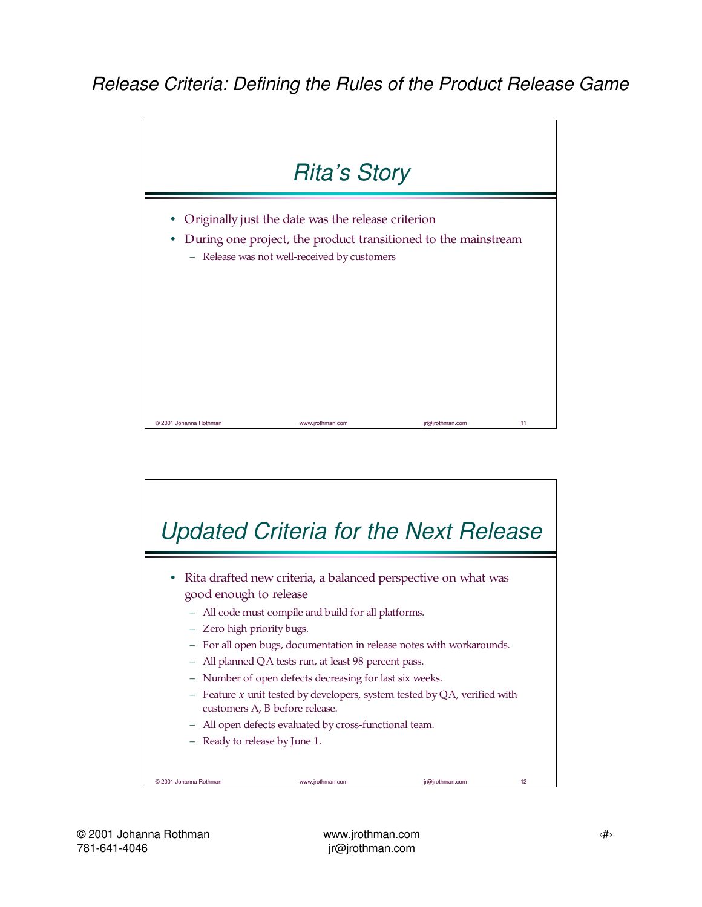

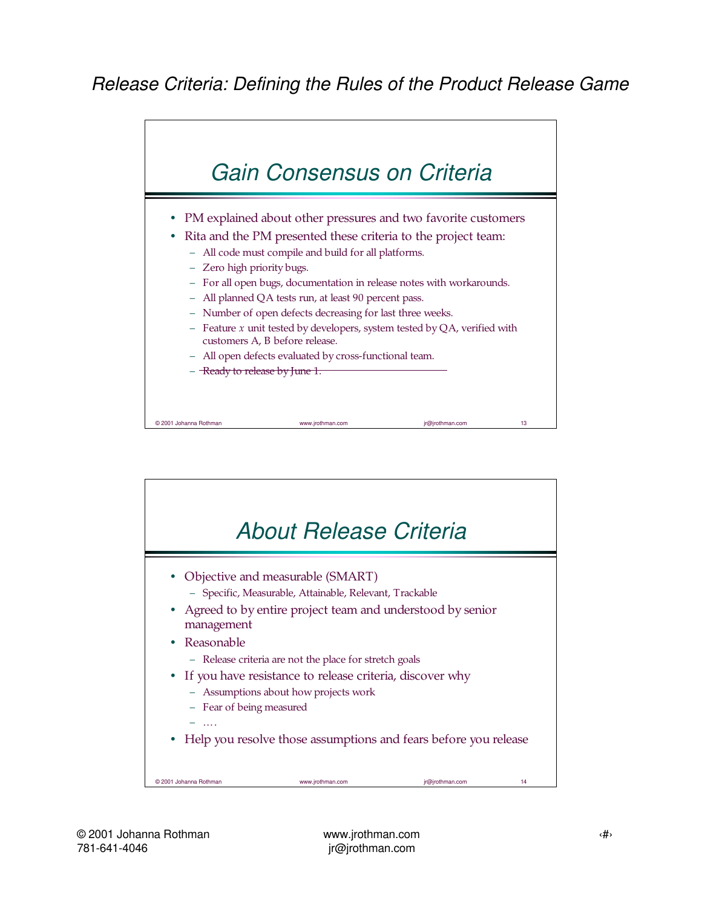

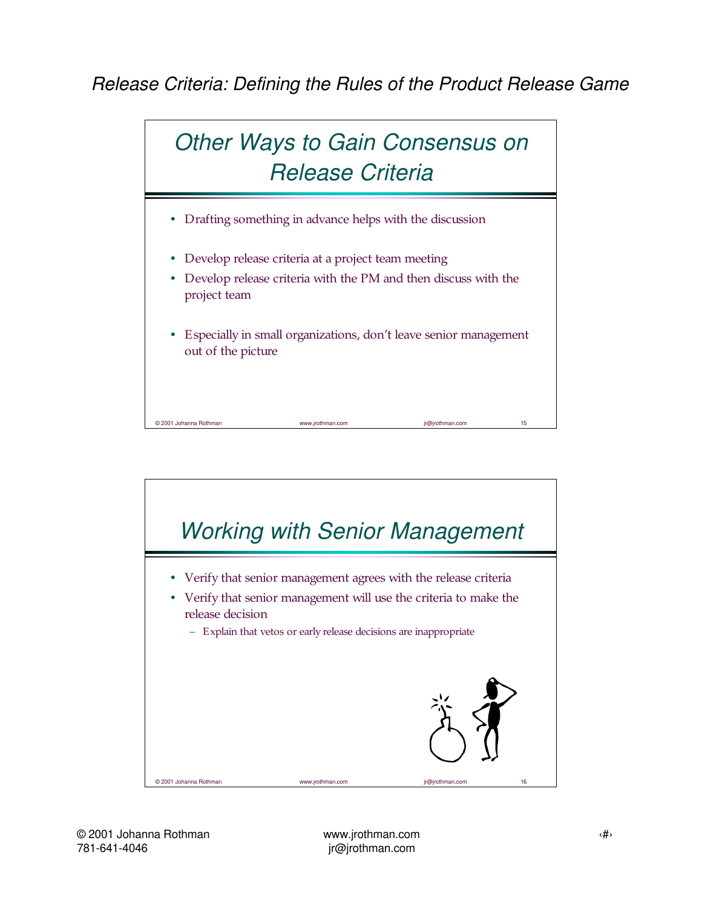

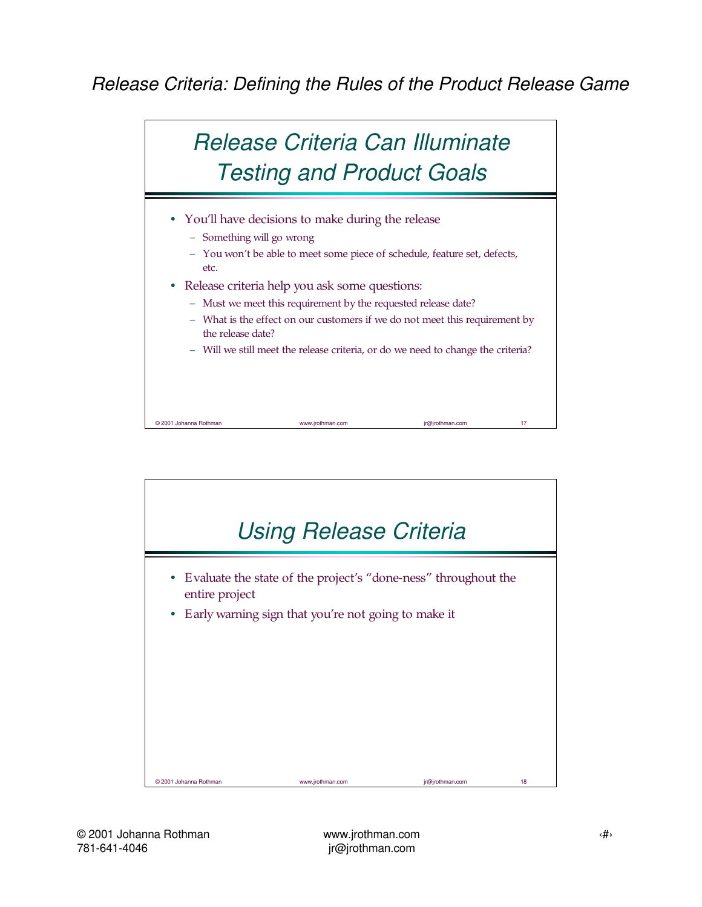

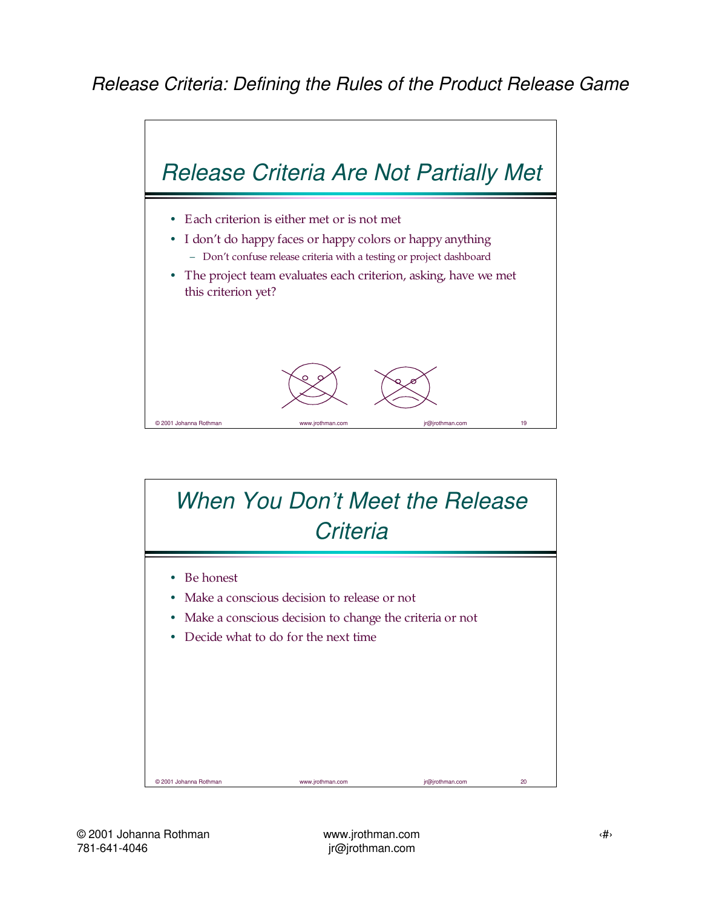